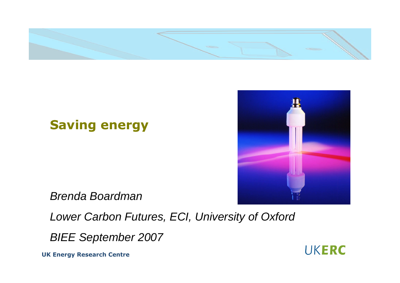

## **Saving energy**



*Brenda Boardman*

*Lower Carbon Futures, ECI, University of Oxford*

*BIEE September 2007*

**UKERC** 

**UK Energy Research Centre**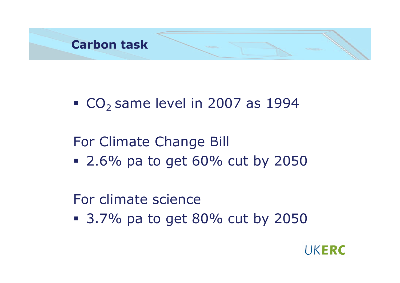

 $\bullet$  CO<sub>2</sub> same level in 2007 as 1994

# For Climate Change Bill

**2.6% pa to get 60% cut by 2050** 

For climate science

■ 3.7% pa to get 80% cut by 2050

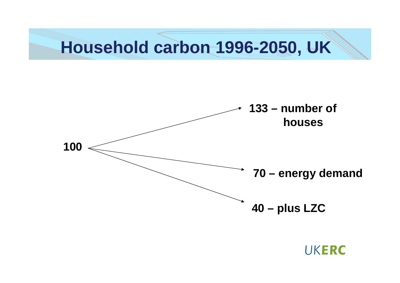## **Household carbon 1996-2050, UK**



#### **UKERC**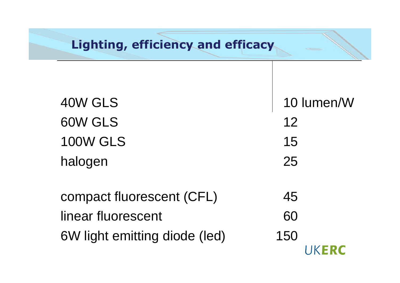## **Lighting, efficiency and efficacy**

| 40W GLS                       | 10 lumen/W |  |
|-------------------------------|------------|--|
| 60W GLS                       | 12         |  |
| <b>100W GLS</b>               | 15         |  |
| halogen                       | 25         |  |
| compact fluorescent (CFL)     | 45         |  |
| linear fluorescent            | 60         |  |
| 6W light emitting diode (led) | 150        |  |
|                               | UKERC      |  |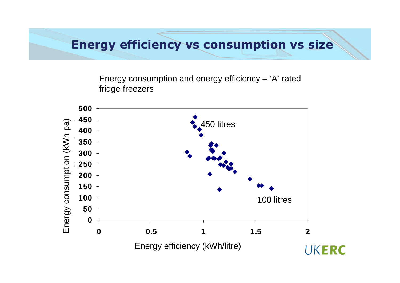#### **Energy efficiency vs consumption vs size**

Energy consumption and energy efficiency – 'A' rated fridge freezers

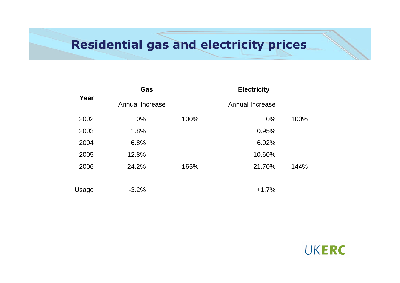## **Residential gas and electricity prices**

| Year  | Gas             |      | <b>Electricity</b> |      |
|-------|-----------------|------|--------------------|------|
|       | Annual Increase |      | Annual Increase    |      |
| 2002  | $0\%$           | 100% | $0\%$              | 100% |
| 2003  | 1.8%            |      | 0.95%              |      |
| 2004  | 6.8%            |      | 6.02%              |      |
| 2005  | 12.8%           |      | 10.60%             |      |
| 2006  | 24.2%           | 165% | 21.70%             | 144% |
|       |                 |      |                    |      |
| Usage | $-3.2%$         |      | $+1.7%$            |      |

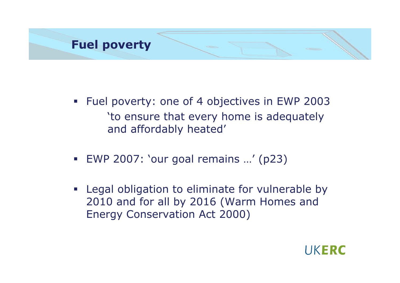#### **Fuel poverty**

- Fuel poverty: one of 4 objectives in EWP 2003 'to ensure that every home is adequately and affordably heated'
- EWP 2007: 'our goal remains …' (p23)
- **EXA)** Legal obligation to eliminate for vulnerable by 2010 and for all by 2016 (Warm Homes and Energy Conservation Act 2000)

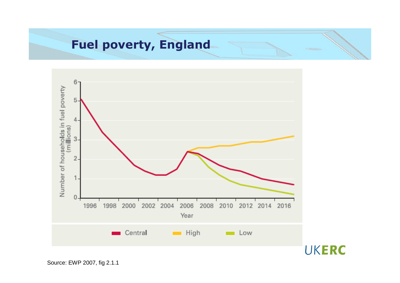#### **Fuel poverty, England**

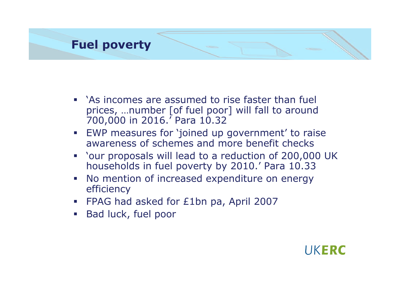#### **Fuel poverty**

- 'As incomes are assumed to rise faster than fuel prices, …number [of fuel poor] will fall to around 700,000 in 2016.' Para 10.32
- **EWP measures for 'joined up government' to raise** awareness of schemes and more benefit checks
- 'our proposals will lead to a reduction of 200,000 UK households in fuel poverty by 2010.' Para 10.33
- No mention of increased expenditure on energy efficiency
- **FPAG had asked for £1bn pa, April 2007**
- **Bad luck, fuel poor**

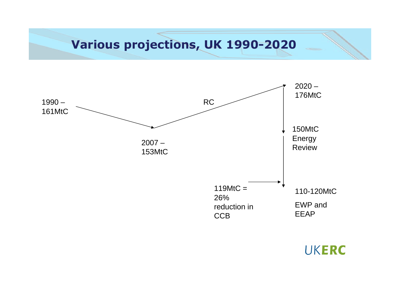#### **Various projections, UK 1990-2020**



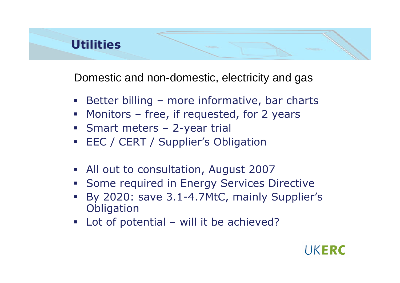### **Utilities**

Domestic and non-domestic, electricity and gas

- Better billing more informative, bar charts
- **Monitors free, if requested, for 2 years**
- Smart meters 2-year trial
- **EEC / CERT / Supplier's Obligation**
- All out to consultation, August 2007
- **Some required in Energy Services Directive**
- By 2020: save 3.1-4.7MtC, mainly Supplier's **Obligation**
- Lot of potential will it be achieved?

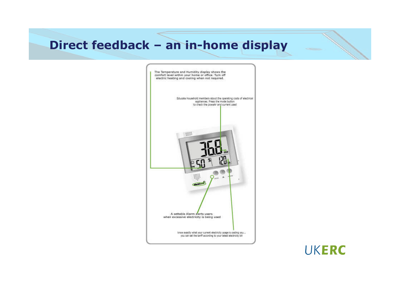#### **Direct feedback – an in-home display**



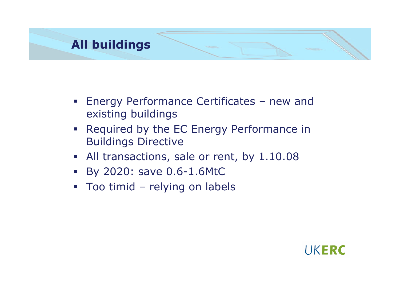#### **All buildings**

- **Energy Performance Certificates new and** existing buildings
- **Required by the EC Energy Performance in** Buildings Directive
- All transactions, sale or rent, by 1.10.08
- By 2020: save 0.6-1.6MtC
- **Too timid relying on labels**

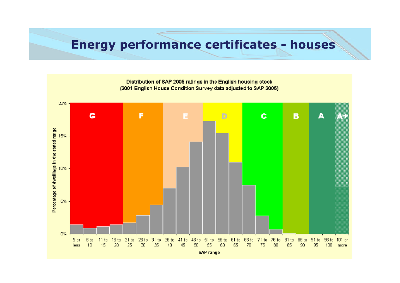#### **Energy performance certificates - houses**

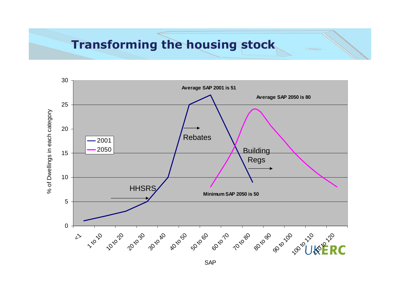#### **Transforming the housing stock**

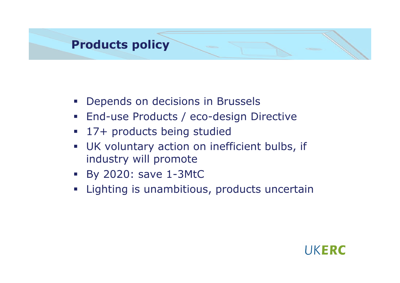#### **Products policy**

- **Depends on decisions in Brussels**
- **End-use Products / eco-design Directive**
- 17+ products being studied
- **UK voluntary action on inefficient bulbs, if** industry will promote
- By 2020: save 1-3MtC
- **EXA** Lighting is unambitious, products uncertain